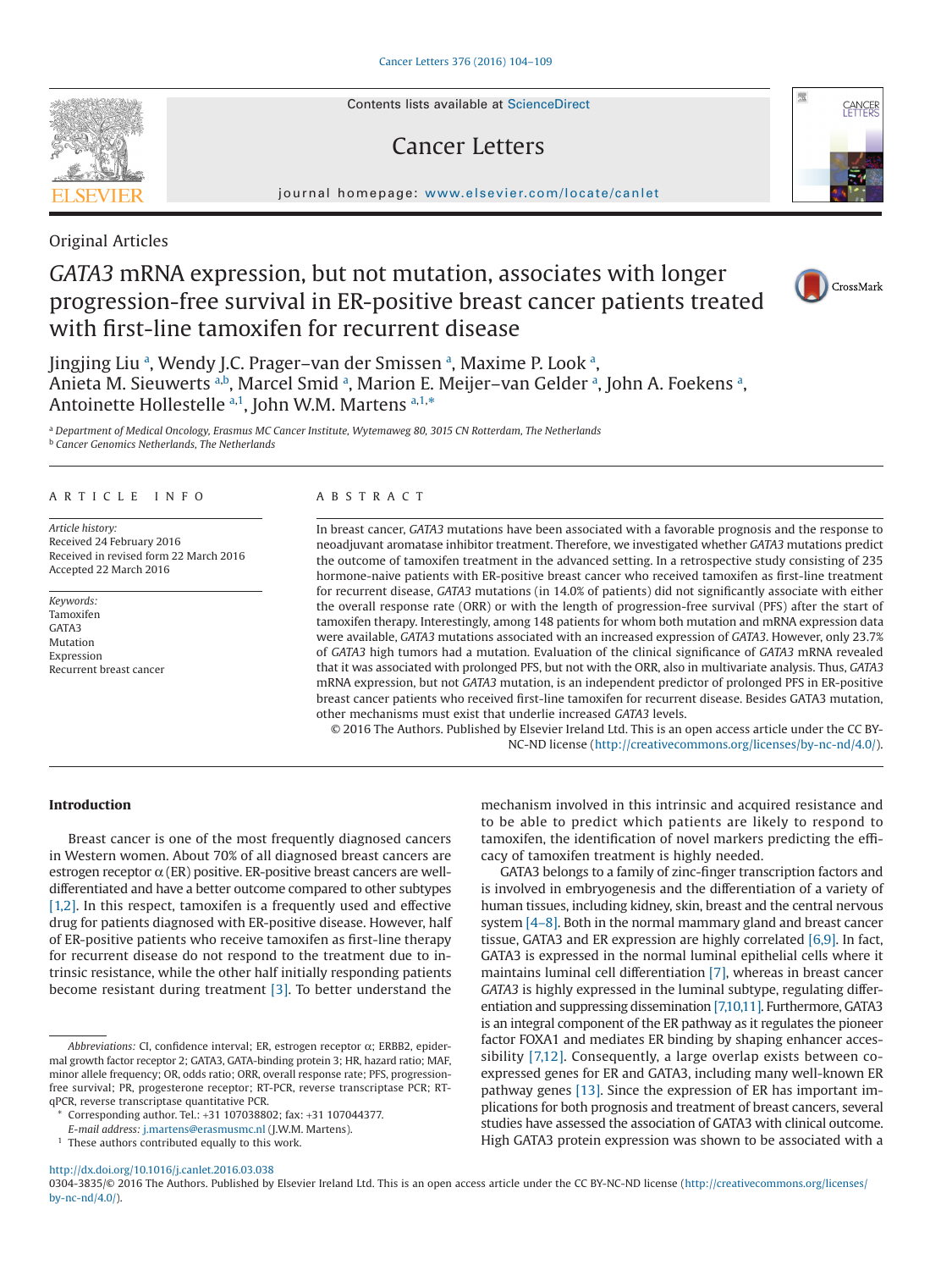Contents lists available at [ScienceDirect](http://www.sciencedirect.com/science/journal/03043835)

# Cancer Letters

journal homepage: [www.elsevier.com/locate/canlet](http://www.elsevier.com/locate/canlet)

Original Articles

# *GATA3* mRNA expression, but not mutation, associates with longer progression-free survival in ER-positive breast cancer patients treated with first-line tamoxifen for recurrent disease

Jingjing Liu ª, Wendy J.C. Pr[a](#page-0-0)ger–van der Smissen ª, Maxime P. Look ª, Aniet[a](#page-0-0) M. Sieuwerts a[,b](#page-0-1), Marcel Smid a, Marion E. Meijer–van Gelder a, John A. Foekens a, Antoinette Hollestelle [a,](#page-0-0)[1](#page-0-2), John W.M. M[a](#page-0-0)rtens a[,1,](#page-0-2)[\\*](#page-0-3)

<span id="page-0-1"></span><span id="page-0-0"></span><sup>a</sup> *Department of Medical Oncology, Erasmus MC Cancer Institute, Wytemaweg 80, 3015 CN Rotterdam, The Netherlands* <sup>b</sup> *Cancer Genomics Netherlands, The Netherlands*

## ARTICLE INFO

*Article history:* Received 24 February 2016 Received in revised form 22 March 2016 Accepted 22 March 2016

*Keywords:* Tamoxifen GATA3 Mutation Expression Recurrent breast cancer

# ABSTRACT

In breast cancer, *GATA3* mutations have been associated with a favorable prognosis and the response to neoadjuvant aromatase inhibitor treatment. Therefore, we investigated whether *GATA3* mutations predict the outcome of tamoxifen treatment in the advanced setting. In a retrospective study consisting of 235 hormone-naive patients with ER-positive breast cancer who received tamoxifen as first-line treatment for recurrent disease, *GATA3* mutations (in 14.0% of patients) did not significantly associate with either the overall response rate (ORR) or with the length of progression-free survival (PFS) after the start of tamoxifen therapy. Interestingly, among 148 patients for whom both mutation and mRNA expression data were available, *GATA3* mutations associated with an increased expression of *GATA3*. However, only 23.7% of *GATA3* high tumors had a mutation. Evaluation of the clinical significance of *GATA3* mRNA revealed that it was associated with prolonged PFS, but not with the ORR, also in multivariate analysis. Thus, *GATA3* mRNA expression, but not *GATA3* mutation, is an independent predictor of prolonged PFS in ER-positive breast cancer patients who received first-line tamoxifen for recurrent disease. Besides GATA3 mutation, other mechanisms must exist that underlie increased *GATA3* levels.

© 2016 The Authors. Published by Elsevier Ireland Ltd. This is an open access article under the CC BY-NC-ND license (http://creativecommons.org/licenses/by-nc-nd/4.0/).

## **Introduction**

Breast cancer is one of the most frequently diagnosed cancers in Western women. About 70% of all diagnosed breast cancers are estrogen receptor  $\alpha$  (ER) positive. ER-positive breast cancers are welldifferentiated and have a better outcome compared to other subtypes [\[1,2\].](#page-5-0) In this respect, tamoxifen is a frequently used and effective drug for patients diagnosed with ER-positive disease. However, half of ER-positive patients who receive tamoxifen as first-line therapy for recurrent disease do not respond to the treatment due to intrinsic resistance, while the other half initially responding patients become resistant during treatment [\[3\].](#page-5-1) To better understand the

<sup>1</sup> These authors contributed equally to this work.

mechanism involved in this intrinsic and acquired resistance and to be able to predict which patients are likely to respond to tamoxifen, the identification of novel markers predicting the efficacy of tamoxifen treatment is highly needed.

GATA3 belongs to a family of zinc-finger transcription factors and is involved in embryogenesis and the differentiation of a variety of human tissues, including kidney, skin, breast and the central nervous system [\[4–8\].](#page-5-2) Both in the normal mammary gland and breast cancer tissue, GATA3 and ER expression are highly correlated [\[6,9\].](#page-5-3) In fact, GATA3 is expressed in the normal luminal epithelial cells where it maintains luminal cell differentiation [\[7\],](#page-5-4) whereas in breast cancer *GATA3* is highly expressed in the luminal subtype, regulating differentiation and suppressing dissemination [\[7,10,11\].](#page-5-4) Furthermore, GATA3 is an integral component of the ER pathway as it regulates the pioneer factor FOXA1 and mediates ER binding by shaping enhancer accessibility [\[7,12\].](#page-5-4) Consequently, a large overlap exists between coexpressed genes for ER and GATA3, including many well-known ER pathway genes [\[13\].](#page-5-5) Since the expression of ER has important implications for both prognosis and treatment of breast cancers, several studies have assessed the association of GATA3 with clinical outcome. High GATA3 protein expression was shown to be associated with a

http://dx.doi.org/10.1016/j.canlet.2016.03.038

0304-3835/© 2016 The Authors. Published by Elsevier Ireland Ltd. This is an open access article under the CC BY-NC-ND license (http://creativecommons.org/licenses/ by-nc-nd/4.0/).







*Abbreviations:* CI, confidence interval; ER, estrogen receptor α; ERBB2, epidermal growth factor receptor 2; GATA3, GATA-binding protein 3; HR, hazard ratio; MAF, minor allele frequency; OR, odds ratio; ORR, overall response rate; PFS, progressionfree survival; PR, progesterone receptor; RT-PCR, reverse transcriptase PCR; RTqPCR, reverse transcriptase quantitative PCR.

<span id="page-0-3"></span>Corresponding author. Tel.: +31 107038802; fax: +31 107044377.

<span id="page-0-2"></span>*E-mail address:* [j.martens@erasmusmc.nl](mailto:j.martens@erasmusmc.nl) (J.W.M. Martens).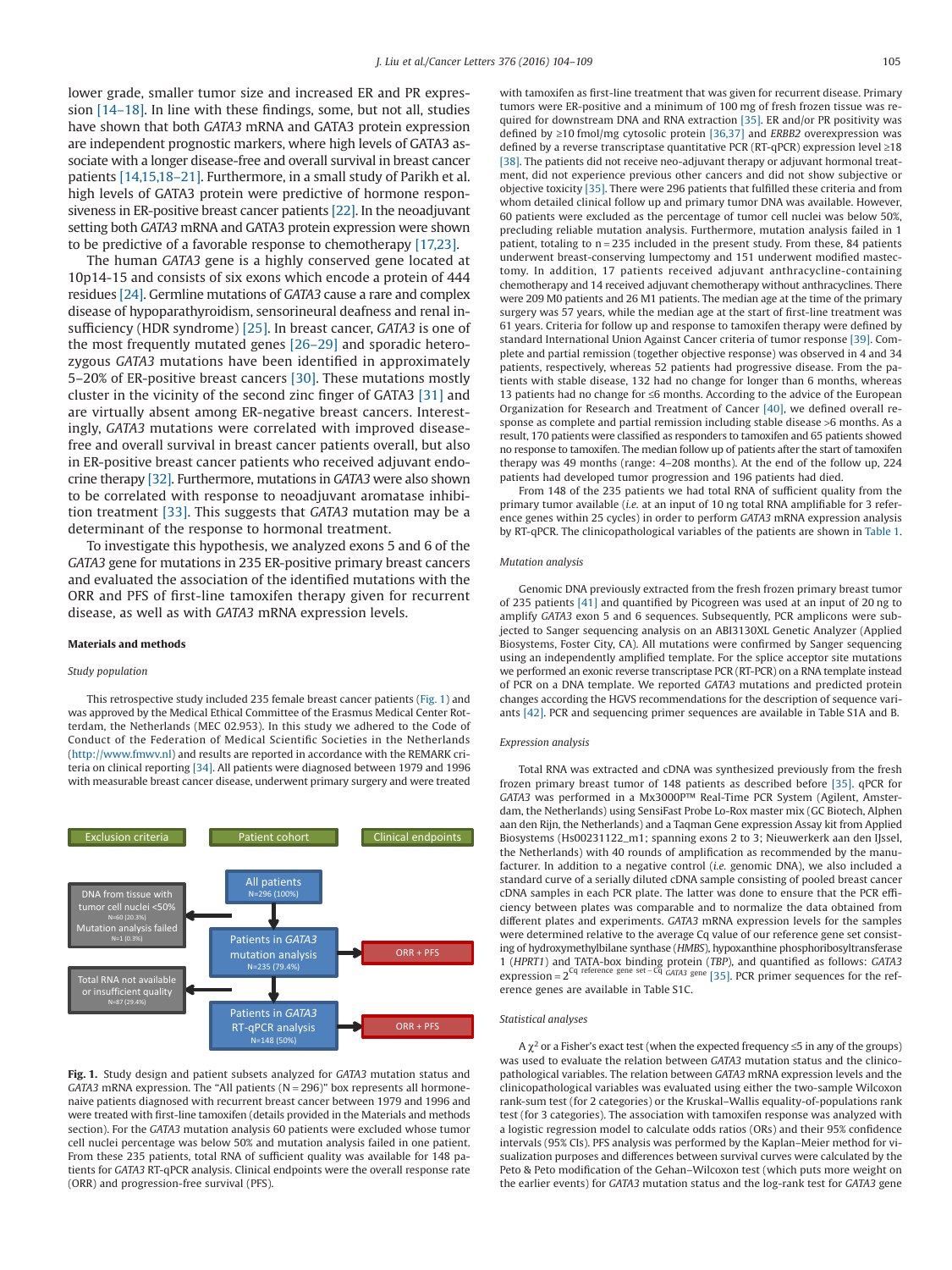lower grade, smaller tumor size and increased ER and PR expression [\[14–18\].](#page-5-6) In line with these findings, some, but not all, studies have shown that both *GATA3* mRNA and GATA3 protein expression are independent prognostic markers, where high levels of GATA3 associate with a longer disease-free and overall survival in breast cancer patients [\[14,15,18–21\].](#page-5-6) Furthermore, in a small study of Parikh et al. high levels of GATA3 protein were predictive of hormone responsiveness in ER-positive breast cancer patients [\[22\].](#page-5-7) In the neoadjuvant setting both *GATA3* mRNA and GATA3 protein expression were shown to be predictive of a favorable response to chemotherapy [\[17,23\].](#page-5-8)

The human *GATA3* gene is a highly conserved gene located at 10p14-15 and consists of six exons which encode a protein of 444 residues [\[24\].](#page-5-9) Germline mutations of *GATA3* cause a rare and complex disease of hypoparathyroidism, sensorineural deafness and renal insufficiency (HDR syndrome) [\[25\].](#page-5-10) In breast cancer, *GATA3* is one of the most frequently mutated genes [\[26–29\]](#page-5-11) and sporadic heterozygous *GATA3* mutations have been identified in approximately 5–20% of ER-positive breast cancers [\[30\].](#page-5-12) These mutations mostly cluster in the vicinity of the second zinc finger of GATA3 [\[31\]](#page-5-13) and are virtually absent among ER-negative breast cancers. Interestingly, *GATA3* mutations were correlated with improved diseasefree and overall survival in breast cancer patients overall, but also in ER-positive breast cancer patients who received adjuvant endocrine therapy [\[32\].](#page-5-14) Furthermore, mutations in *GATA3* were also shown to be correlated with response to neoadjuvant aromatase inhibition treatment [\[33\].](#page-5-15) This suggests that *GATA3* mutation may be a determinant of the response to hormonal treatment.

To investigate this hypothesis, we analyzed exons 5 and 6 of the *GATA3* gene for mutations in 235 ER-positive primary breast cancers and evaluated the association of the identified mutations with the ORR and PFS of first-line tamoxifen therapy given for recurrent disease, as well as with *GATA3* mRNA expression levels.

#### **Materials and methods**

## *Study population*

This retrospective study included 235 female breast cancer patients (Fig. 1) and was approved by the Medical Ethical Committee of the Erasmus Medical Center Rotterdam, the Netherlands (MEC 02.953). In this study we adhered to the Code of Conduct of the Federation of Medical Scientific Societies in the Netherlands [\(http://www.fmwv.nl\)](http://www.fmwv.nl) and results are reported in accordance with the REMARK criteria on clinical reporting [\[34\].](#page-5-16) All patients were diagnosed between 1979 and 1996 with measurable breast cancer disease, underwent primary surgery and were treated



**Fig. 1.** Study design and patient subsets analyzed for *GATA3* mutation status and *GATA3* mRNA expression. The "All patients (N = 296)" box represents all hormonenaive patients diagnosed with recurrent breast cancer between 1979 and 1996 and were treated with first-line tamoxifen (details provided in the Materials and methods section). For the *GATA3* mutation analysis 60 patients were excluded whose tumor cell nuclei percentage was below 50% and mutation analysis failed in one patient. From these 235 patients, total RNA of sufficient quality was available for 148 patients for *GATA3* RT-qPCR analysis. Clinical endpoints were the overall response rate (ORR) and progression-free survival (PFS).

with tamoxifen as first-line treatment that was given for recurrent disease. Primary tumors were ER-positive and a minimum of 100 mg of fresh frozen tissue was required for downstream DNA and RNA extraction [\[35\].](#page-5-17) ER and/or PR positivity was defined by ≥10 fmol/mg cytosolic protein [\[36,37\]](#page-5-18) and *ERBB2* overexpression was defined by a reverse transcriptase quantitative PCR (RT-qPCR) expression level ≥18 [\[38\].](#page-5-19) The patients did not receive neo-adjuvant therapy or adjuvant hormonal treatment, did not experience previous other cancers and did not show subjective or objective toxicity [\[35\].](#page-5-17) There were 296 patients that fulfilled these criteria and from whom detailed clinical follow up and primary tumor DNA was available. However, 60 patients were excluded as the percentage of tumor cell nuclei was below 50%, precluding reliable mutation analysis. Furthermore, mutation analysis failed in 1 patient, totaling to n = 235 included in the present study. From these, 84 patients underwent breast-conserving lumpectomy and 151 underwent modified mastectomy. In addition, 17 patients received adjuvant anthracycline-containing chemotherapy and 14 received adjuvant chemotherapy without anthracyclines. There were 209 M0 patients and 26 M1 patients. The median age at the time of the primary surgery was 57 years, while the median age at the start of first-line treatment was 61 years. Criteria for follow up and response to tamoxifen therapy were defined by standard International Union Against Cancer criteria of tumor response [\[39\].](#page-5-20) Complete and partial remission (together objective response) was observed in 4 and 34 patients, respectively, whereas 52 patients had progressive disease. From the patients with stable disease, 132 had no change for longer than 6 months, whereas 13 patients had no change for ≤6 months. According to the advice of the European Organization for Research and Treatment of Cancer [\[40\],](#page-5-21) we defined overall response as complete and partial remission including stable disease >6 months. As a result, 170 patients were classified as responders to tamoxifen and 65 patients showed no response to tamoxifen. The median follow up of patients after the start of tamoxifen therapy was 49 months (range: 4–208 months). At the end of the follow up, 224 patients had developed tumor progression and 196 patients had died.

From 148 of the 235 patients we had total RNA of sufficient quality from the primary tumor available (*i.e.* at an input of 10 ng total RNA amplifiable for 3 reference genes within 25 cycles) in order to perform *GATA3* mRNA expression analysis by RT-qPCR. The clinicopathological variables of the patients are shown in [Table 1.](#page-2-0)

#### *Mutation analysis*

Genomic DNA previously extracted from the fresh frozen primary breast tumor of 235 patients [\[41\]](#page-5-22) and quantified by Picogreen was used at an input of 20 ng to amplify *GATA3* exon 5 and 6 sequences. Subsequently, PCR amplicons were subjected to Sanger sequencing analysis on an ABI3130XL Genetic Analyzer (Applied Biosystems, Foster City, CA). All mutations were confirmed by Sanger sequencing using an independently amplified template. For the splice acceptor site mutations we performed an exonic reverse transcriptase PCR (RT-PCR) on a RNA template instead of PCR on a DNA template. We reported *GATA3* mutations and predicted protein changes according the HGVS recommendations for the description of sequence variants [\[42\].](#page-5-23) PCR and sequencing primer sequences are available in Table S1A and B.

#### *Expression analysis*

Total RNA was extracted and cDNA was synthesized previously from the fresh frozen primary breast tumor of 148 patients as described before [\[35\].](#page-5-17) qPCR for *GATA3* was performed in a Mx3000P™ Real-Time PCR System (Agilent, Amsterdam, the Netherlands) using SensiFast Probe Lo-Rox master mix (GC Biotech, Alphen aan den Rijn, the Netherlands) and a Taqman Gene expression Assay kit from Applied Biosystems (Hs00231122\_m1; spanning exons 2 to 3; Nieuwerkerk aan den IJssel, the Netherlands) with 40 rounds of amplification as recommended by the manufacturer. In addition to a negative control (*i.e.* genomic DNA), we also included a standard curve of a serially diluted cDNA sample consisting of pooled breast cancer cDNA samples in each PCR plate. The latter was done to ensure that the PCR efficiency between plates was comparable and to normalize the data obtained from different plates and experiments. *GATA3* mRNA expression levels for the samples were determined relative to the average Cq value of our reference gene set consisting of hydroxymethylbilane synthase (*HMBS*), hypoxanthine phosphoribosyltransferase 1 (*HPRT1*) and TATA-box binding protein (*TBP*), and quantified as follows: *GATA3* expression =  $2^{Cq}$  reference gene set -  $Cq$  *GATA3* gene [\[35\].](#page-5-17) PCR primer sequences for the reference genes are available in Table S1C.

#### *Statistical analyses*

A  $\chi^2$  or a Fisher's exact test (when the expected frequency  $\leq$ 5 in any of the groups) was used to evaluate the relation between *GATA3* mutation status and the clinicopathological variables. The relation between *GATA3* mRNA expression levels and the clinicopathological variables was evaluated using either the two-sample Wilcoxon rank-sum test (for 2 categories) or the Kruskal–Wallis equality-of-populations rank test (for 3 categories). The association with tamoxifen response was analyzed with a logistic regression model to calculate odds ratios (ORs) and their 95% confidence intervals (95% CIs). PFS analysis was performed by the Kaplan–Meier method for visualization purposes and differences between survival curves were calculated by the Peto & Peto modification of the Gehan–Wilcoxon test (which puts more weight on the earlier events) for *GATA3* mutation status and the log-rank test for *GATA3* gene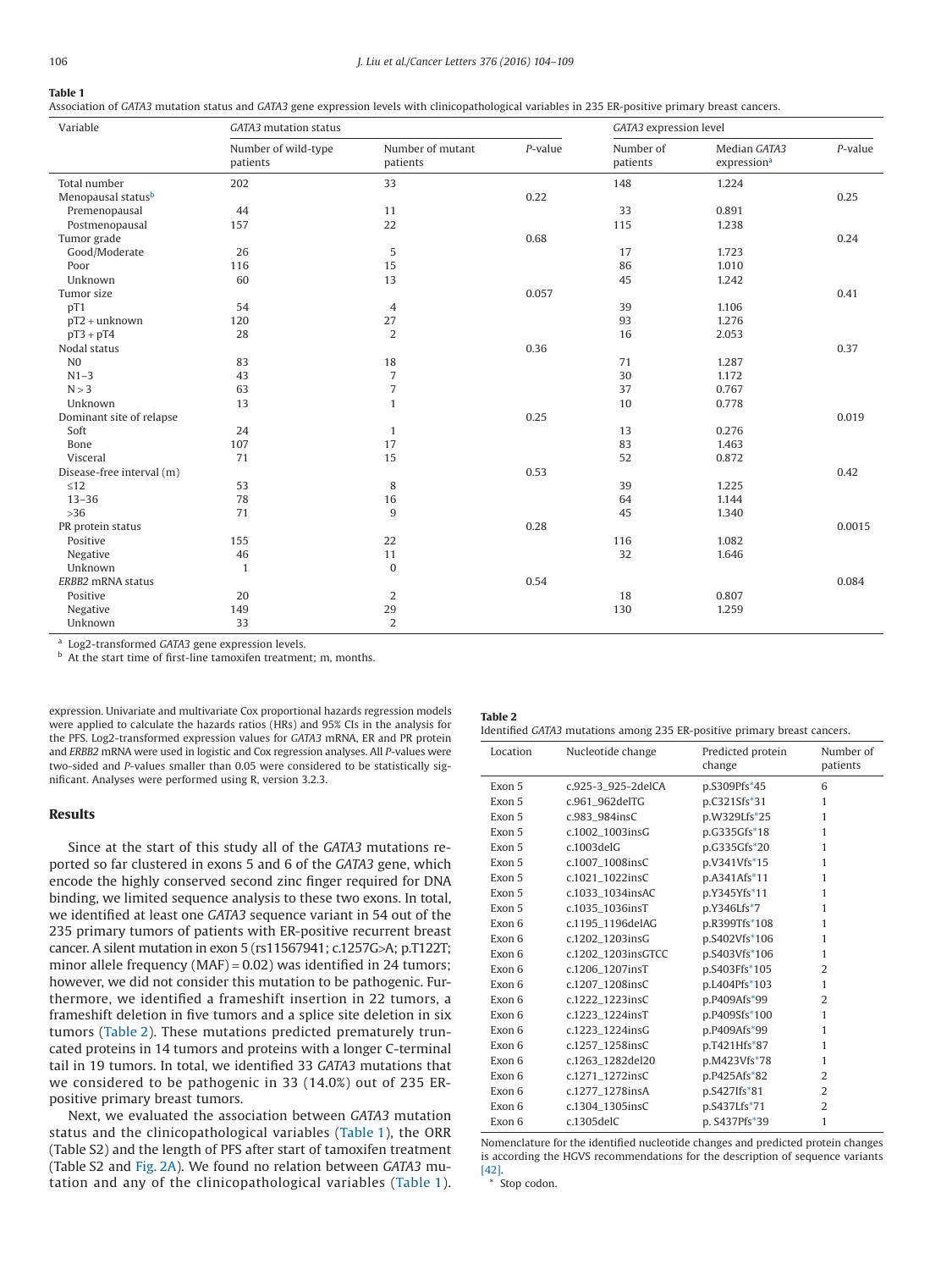## <span id="page-2-0"></span>**Table 1**

Association of *GATA3* mutation status and *GATA3* gene expression levels with clinicopathological variables in 235 ER-positive primary breast cancers.

| Variable                  | GATA3 mutation status           |                              | GATA3 expression level |                       |                                         |            |
|---------------------------|---------------------------------|------------------------------|------------------------|-----------------------|-----------------------------------------|------------|
|                           | Number of wild-type<br>patients | Number of mutant<br>patients | $P$ -value             | Number of<br>patients | Median GATA3<br>expression <sup>a</sup> | $P$ -value |
| Total number              | 202                             | 33                           |                        | 148                   | 1.224                                   |            |
| Menopausal statusb        |                                 |                              | 0.22                   |                       |                                         | 0.25       |
| Premenopausal             | 44                              | 11                           |                        | 33                    | 0.891                                   |            |
| Postmenopausal            | 157                             | 22                           |                        | 115                   | 1.238                                   |            |
| Tumor grade               |                                 |                              | 0.68                   |                       |                                         | 0.24       |
| Good/Moderate             | 26                              | 5                            |                        | 17                    | 1.723                                   |            |
| Poor                      | 116                             | 15                           |                        | 86                    | 1.010                                   |            |
| Unknown                   | 60                              | 13                           |                        | 45                    | 1.242                                   |            |
| Tumor size                |                                 |                              | 0.057                  |                       |                                         | 0.41       |
| pT1                       | 54                              | $\overline{4}$               |                        | 39                    | 1.106                                   |            |
| $pT2 + unknown$           | 120                             | 27                           |                        | 93                    | 1.276                                   |            |
| $pT3 + pT4$               | 28                              | $\overline{2}$               |                        | 16                    | 2.053                                   |            |
| Nodal status              |                                 |                              | 0.36                   |                       |                                         | 0.37       |
| N <sub>0</sub>            | 83                              | 18                           |                        | 71                    | 1.287                                   |            |
| $N1-3$                    | 43                              | $\sqrt{ }$                   |                        | 30                    | 1.172                                   |            |
| N > 3                     | 63                              | $\overline{7}$               |                        | 37                    | 0.767                                   |            |
| Unknown                   | 13                              | $\mathbf{1}$                 |                        | 10                    | 0.778                                   |            |
| Dominant site of relapse  |                                 |                              | 0.25                   |                       |                                         | 0.019      |
| Soft                      | 24                              | $\mathbf{1}$                 |                        | 13                    | 0.276                                   |            |
| Bone                      | 107                             | 17                           |                        | 83                    | 1.463                                   |            |
| Visceral                  | 71                              | 15                           |                        | 52                    | 0.872                                   |            |
| Disease-free interval (m) |                                 |                              | 0.53                   |                       |                                         | 0.42       |
| $\leq 12$                 | 53                              | 8                            |                        | 39                    | 1.225                                   |            |
| $13 - 36$                 | 78                              | 16                           |                        | 64                    | 1.144                                   |            |
| $>36$                     | 71                              | $\overline{9}$               |                        | 45                    | 1.340                                   |            |
| PR protein status         |                                 |                              | 0.28                   |                       |                                         | 0.0015     |
| Positive                  | 155                             | 22                           |                        | 116                   | 1.082                                   |            |
| Negative                  | 46                              | 11                           |                        | 32                    | 1.646                                   |            |
| Unknown                   | $\mathbf{1}$                    | $\mathbf{0}$                 |                        |                       |                                         |            |
| ERBB2 mRNA status         |                                 |                              | 0.54                   |                       |                                         | 0.084      |
| Positive                  | 20                              | $\overline{2}$               |                        | 18                    | 0.807                                   |            |
| Negative                  | 149                             | 29                           |                        | 130                   | 1.259                                   |            |
| Unknown                   | 33                              | $\overline{2}$               |                        |                       |                                         |            |

<span id="page-2-1"></span><sup>a</sup> Log2-transformed *GATA3* gene expression levels.

<span id="page-2-2"></span>b At the start time of first-line tamoxifen treatment; m, months.

expression. Univariate and multivariate Cox proportional hazards regression models were applied to calculate the hazards ratios (HRs) and 95% CIs in the analysis for the PFS. Log2-transformed expression values for *GATA3* mRNA, ER and PR protein and *ERBB2* mRNA were used in logistic and Cox regression analyses. All *P*-values were two-sided and *P*-values smaller than 0.05 were considered to be statistically significant. Analyses were performed using R, version 3.2.3.

# **Results**

Since at the start of this study all of the *GATA3* mutations reported so far clustered in exons 5 and 6 of the *GATA3* gene, which encode the highly conserved second zinc finger required for DNA binding, we limited sequence analysis to these two exons. In total, we identified at least one *GATA3* sequence variant in 54 out of the 235 primary tumors of patients with ER-positive recurrent breast cancer. A silent mutation in exon 5 (rs11567941; c.1257G>A; p.T122T; minor allele frequency (MAF) = 0.02) was identified in 24 tumors; however, we did not consider this mutation to be pathogenic. Furthermore, we identified a frameshift insertion in 22 tumors, a frameshift deletion in five tumors and a splice site deletion in six tumors (Table 2). These mutations predicted prematurely truncated proteins in 14 tumors and proteins with a longer C-terminal tail in 19 tumors. In total, we identified 33 *GATA3* mutations that we considered to be pathogenic in 33 (14.0%) out of 235 ERpositive primary breast tumors.

Next, we evaluated the association between *GATA3* mutation status and the clinicopathological variables (Table 1), the ORR (Table S2) and the length of PFS after start of tamoxifen treatment (Table S2 and [Fig. 2A\)](#page-3-0). We found no relation between *GATA3* mutation and any of the clinicopathological variables (Table 1).

## **Table 2** Identified *GATA3* mutations among 235 ER-positive primary breast cancers.

| Location | Nucleotide change  | Predicted protein<br>change | Number of<br>patients |
|----------|--------------------|-----------------------------|-----------------------|
| Exon 5   | c.925-3 925-2delCA | p.S309Pfs*45                | 6                     |
| Exon 5   | c.961 962delTG     | p.C321Sfs*31                | 1                     |
| Exon 5   | c.983_984insC      | p.W329Lfs*25                | 1                     |
| Exon 5   | c.1002_1003insG    | p.G335Gfs*18                | $\mathbf{1}$          |
| Exon 5   | $c.1003$ del $G$   | p.G335Gfs*20                | 1                     |
| Exon 5   | c.1007 1008insC    | p.V341Vfs*15                | $\mathbf{1}$          |
| Exon 5   | c.1021_1022insC    | p.A341Afs*11                | 1                     |
| Exon 5   | c.1033_1034insAC   | p.Y345Yfs*11                | 1                     |
| Exon 5   | c.1035_1036insT    | p.Y346Lfs*7                 | 1                     |
| Exon 6   | c.1195_1196delAG   | p.R399Tfs*108               | 1                     |
| Exon 6   | c.1202_1203insG    | p.S402Vfs*106               | $\mathbf{1}$          |
| Exon 6   | c.1202_1203insGTCC | p.S403Vfs*106               | 1                     |
| Exon 6   | c.1206 1207insT    | p.S403Ffs*105               | $\overline{2}$        |
| Exon 6   | c.1207_1208insC    | p.L404Pfs*103               | 1                     |
| Exon 6   | c.1222 1223insC    | p.P409Afs*99                | $\overline{2}$        |
| Exon 6   | c.1223_1224insT    | p.P409Sfs*100               | 1                     |
| Exon 6   | c.1223_1224insG    | p.P409Afs*99                | $\mathbf{1}$          |
| Exon 6   | c.1257_1258insC    | p.T421Hfs*87                | $\mathbf{1}$          |
| Exon 6   | c.1263_1282del20   | p.M423Vfs*78                | 1                     |
| Exon 6   | c.1271_1272insC    | p.P425Afs*82                | 2                     |
| Exon 6   | c.1277_1278insA    | p.S427Ifs*81                | $\overline{2}$        |
| Exon 6   | c.1304_1305insC    | p.S437Lfs*71                | $\overline{2}$        |
| Exon 6   | c.1305delC         | p. S437Pfs*39               | 1                     |

Nomenclature for the identified nucleotide changes and predicted protein changes is according the HGVS recommendations for the description of sequence variants [\[42\].](#page-5-23)

<span id="page-2-3"></span>\* Stop codon.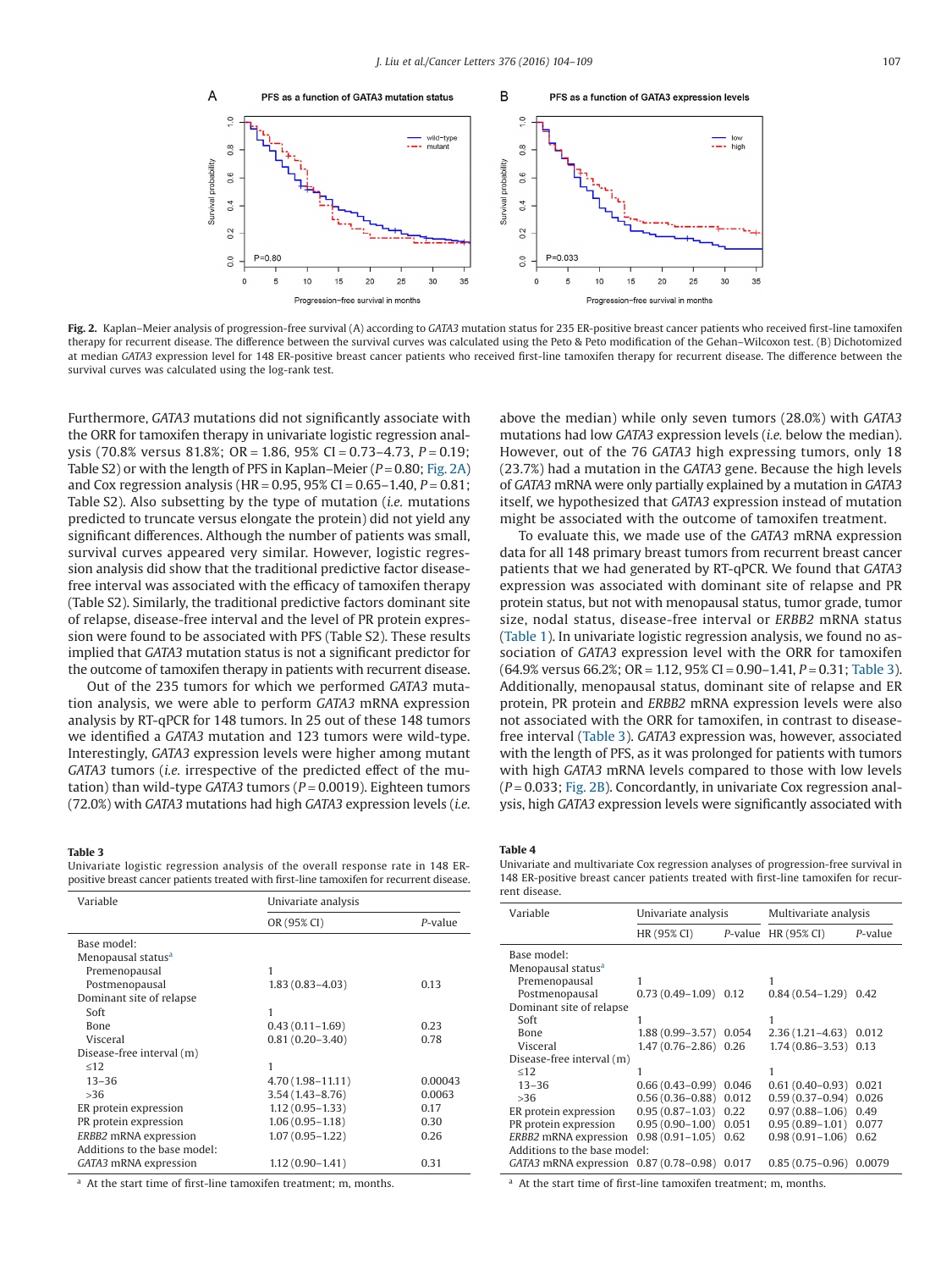<span id="page-3-0"></span>

**Fig. 2.** Kaplan–Meier analysis of progression-free survival (A) according to *GATA3* mutation status for 235 ER-positive breast cancer patients who received first-line tamoxifen therapy for recurrent disease. The difference between the survival curves was calculated using the Peto & Peto modification of the Gehan–Wilcoxon test. (B) Dichotomized at median *GATA3* expression level for 148 ER-positive breast cancer patients who received first-line tamoxifen therapy for recurrent disease. The difference between the survival curves was calculated using the log-rank test.

Furthermore, *GATA3* mutations did not significantly associate with the ORR for tamoxifen therapy in univariate logistic regression analysis (70.8% versus 81.8%; OR = 1.86, 95% CI = 0.73–4.73, *P* = 0.19; Table S2) or with the length of PFS in Kaplan–Meier (*P* = 0.80; Fig. 2A) and Cox regression analysis (HR = 0.95, 95% CI = 0.65–1.40, *P* = 0.81; Table S2). Also subsetting by the type of mutation (*i.e.* mutations predicted to truncate versus elongate the protein) did not yield any significant differences. Although the number of patients was small, survival curves appeared very similar. However, logistic regression analysis did show that the traditional predictive factor diseasefree interval was associated with the efficacy of tamoxifen therapy (Table S2). Similarly, the traditional predictive factors dominant site of relapse, disease-free interval and the level of PR protein expression were found to be associated with PFS (Table S2). These results implied that *GATA3* mutation status is not a significant predictor for the outcome of tamoxifen therapy in patients with recurrent disease.

Out of the 235 tumors for which we performed *GATA3* mutation analysis, we were able to perform *GATA3* mRNA expression analysis by RT-qPCR for 148 tumors. In 25 out of these 148 tumors we identified a *GATA3* mutation and 123 tumors were wild-type. Interestingly, *GATA3* expression levels were higher among mutant *GATA3* tumors (*i.e.* irrespective of the predicted effect of the mutation) than wild-type *GATA3* tumors (*P* = 0.0019). Eighteen tumors (72.0%) with *GATA3* mutations had high *GATA3* expression levels (*i.e.*

## **Table 3**

Univariate logistic regression analysis of the overall response rate in 148 ERpositive breast cancer patients treated with first-line tamoxifen for recurrent disease.

| Variable                       | Univariate analysis  |         |  |  |
|--------------------------------|----------------------|---------|--|--|
|                                | OR (95% CI)          | P-value |  |  |
| Base model:                    |                      |         |  |  |
| Menopausal status <sup>a</sup> |                      |         |  |  |
| Premenopausal                  | 1                    |         |  |  |
| Postmenopausal                 | $1.83(0.83 - 4.03)$  | 0.13    |  |  |
| Dominant site of relapse       |                      |         |  |  |
| Soft                           | 1                    |         |  |  |
| <b>Bone</b>                    | $0.43(0.11 - 1.69)$  | 0.23    |  |  |
| Visceral                       | $0.81(0.20 - 3.40)$  | 0.78    |  |  |
| Disease-free interval (m)      |                      |         |  |  |
| < 12                           | 1                    |         |  |  |
| $13 - 36$                      | $4.70(1.98 - 11.11)$ | 0.00043 |  |  |
| >36                            | $3.54(1.43 - 8.76)$  | 0.0063  |  |  |
| ER protein expression          | $1.12(0.95 - 1.33)$  | 0.17    |  |  |
| PR protein expression          | $1.06(0.95 - 1.18)$  | 0.30    |  |  |
| ERBB2 mRNA expression          | $1.07(0.95 - 1.22)$  | 0.26    |  |  |
| Additions to the base model:   |                      |         |  |  |
| GATA3 mRNA expression          | $1.12(0.90 - 1.41)$  | 0.31    |  |  |
|                                |                      |         |  |  |

<span id="page-3-1"></span><sup>a</sup> At the start time of first-line tamoxifen treatment; m, months.

above the median) while only seven tumors (28.0%) with *GATA3* mutations had low *GATA3* expression levels (*i.e.* below the median). However, out of the 76 *GATA3* high expressing tumors, only 18 (23.7%) had a mutation in the *GATA3* gene. Because the high levels of *GATA3* mRNA were only partially explained by a mutation in *GATA3* itself, we hypothesized that *GATA3* expression instead of mutation might be associated with the outcome of tamoxifen treatment.

To evaluate this, we made use of the *GATA3* mRNA expression data for all 148 primary breast tumors from recurrent breast cancer patients that we had generated by RT-qPCR. We found that *GATA3* expression was associated with dominant site of relapse and PR protein status, but not with menopausal status, tumor grade, tumor size, nodal status, disease-free interval or *ERBB2* mRNA status [\(Table 1\)](#page-2-0). In univariate logistic regression analysis, we found no association of *GATA3* expression level with the ORR for tamoxifen (64.9% versus 66.2%; OR = 1.12, 95% CI = 0.90–1.41, *P* = 0.31; Table 3). Additionally, menopausal status, dominant site of relapse and ER protein, PR protein and *ERBB2* mRNA expression levels were also not associated with the ORR for tamoxifen, in contrast to diseasefree interval (Table 3). *GATA3* expression was, however, associated with the length of PFS, as it was prolonged for patients with tumors with high *GATA3* mRNA levels compared to those with low levels (*P* = 0.033; Fig. 2B). Concordantly, in univariate Cox regression analysis, high *GATA3* expression levels were significantly associated with

#### **Table 4**

Univariate and multivariate Cox regression analyses of progression-free survival in 148 ER-positive breast cancer patients treated with first-line tamoxifen for recurrent disease.

| Variable                                      | Univariate analysis    |         | Multivariate analysis |         |  |  |
|-----------------------------------------------|------------------------|---------|-----------------------|---------|--|--|
|                                               | HR (95% CI)            | P-value | HR (95% CI)           | P-value |  |  |
| Base model:<br>Menopausal status <sup>a</sup> |                        |         |                       |         |  |  |
| Premenopausal                                 | 1                      |         |                       |         |  |  |
| Postmenopausal                                | $0.73(0.49-1.09)$      | 0.12    | $0.84(0.54 - 1.29)$   | 0.42    |  |  |
| Dominant site of relapse                      |                        |         |                       |         |  |  |
| Soft                                          |                        |         |                       |         |  |  |
| Bone                                          | 1.88 (0.99-3.57) 0.054 |         | $2.36(1.21 - 4.63)$   | 0.012   |  |  |
| Visceral                                      | $1.47(0.76 - 2.86)$    | 0.26    | $1.74(0.86 - 3.53)$   | 0.13    |  |  |
| Disease-free interval (m)                     |                        |         |                       |         |  |  |
| <12                                           | 1                      |         |                       |         |  |  |
| $13 - 36$                                     | $0.66(0.43 - 0.99)$    | 0.046   | $0.61(0.40-0.93)$     | 0.021   |  |  |
| >36                                           | $0.56(0.36 - 0.88)$    | 0.012   | $0.59(0.37-0.94)$     | 0.026   |  |  |
| ER protein expression                         | $0.95(0.87 - 1.03)$    | 0.22    | $0.97(0.88 - 1.06)$   | 0.49    |  |  |
| PR protein expression                         | $0.95(0.90 - 1.00)$    | 0.051   | $0.95(0.89 - 1.01)$   | 0.077   |  |  |
| ERBB2 mRNA expression                         | $0.98(0.91 - 1.05)$    | 0.62    | $0.98(0.91 - 1.06)$   | 0.62    |  |  |
| Additions to the base model:                  |                        |         |                       |         |  |  |
| $GATA3$ mRNA expression $0.87$ (0.78–0.98)    |                        | 0.017   | $0.85(0.75-0.96)$     | 0.0079  |  |  |

<span id="page-3-2"></span><sup>a</sup> At the start time of first-line tamoxifen treatment; m, months.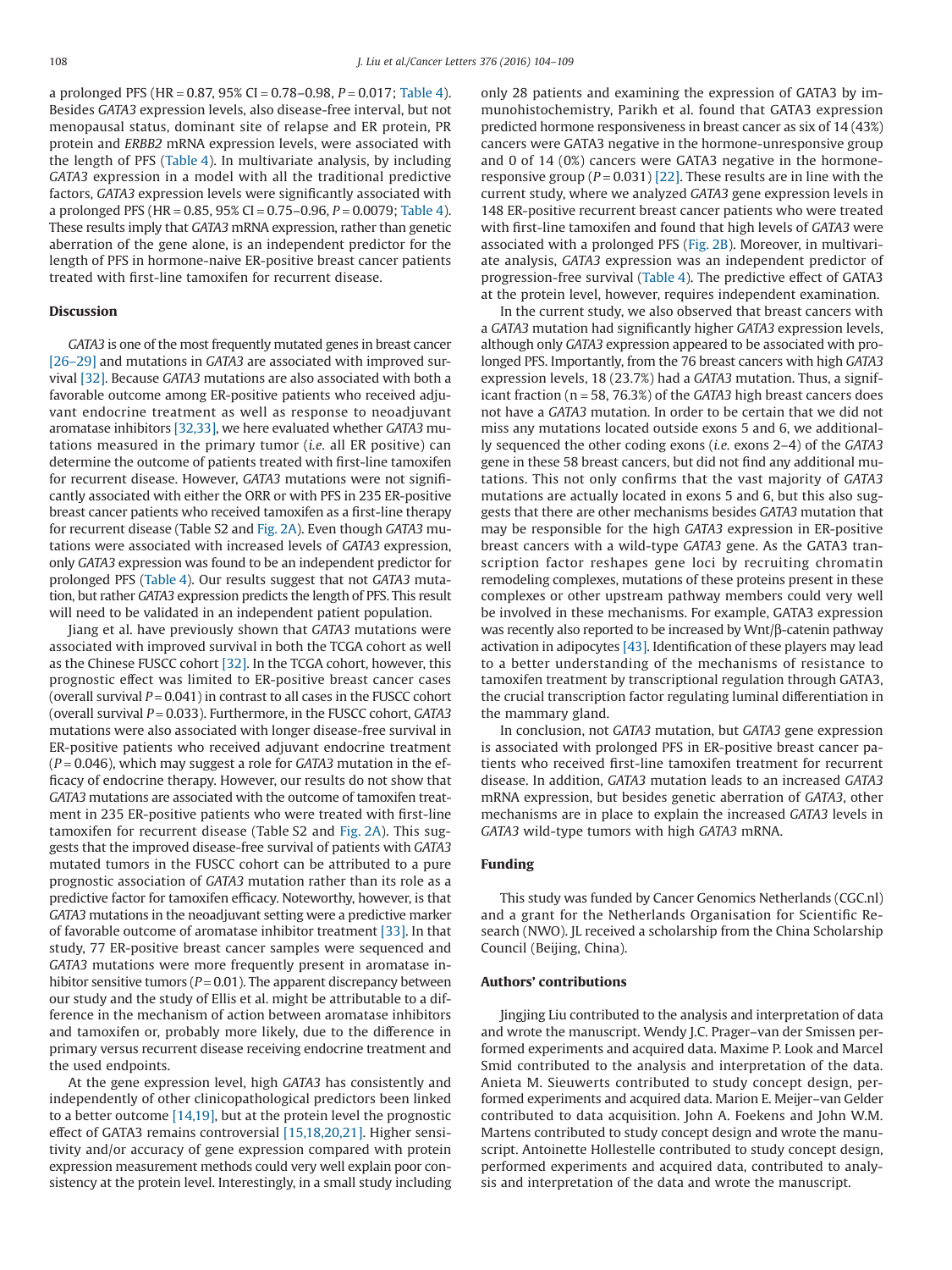a prolonged PFS (HR =  $0.87$ ,  $95\%$  CI =  $0.78-0.98$ ,  $P = 0.017$ ; [Table 4\)](#page-3-0). Besides *GATA3* expression levels, also disease-free interval, but not menopausal status, dominant site of relapse and ER protein, PR protein and *ERBB2* mRNA expression levels, were associated with the length of PFS [\(Table 4\)](#page-3-0). In multivariate analysis, by including *GATA3* expression in a model with all the traditional predictive factors, *GATA3* expression levels were significantly associated with a prolonged PFS (HR = 0.85, 95% CI = 0.75–0.96, *P* = 0.0079; [Table 4\)](#page-3-0). These results imply that *GATA3* mRNA expression, rather than genetic aberration of the gene alone, is an independent predictor for the length of PFS in hormone-naive ER-positive breast cancer patients treated with first-line tamoxifen for recurrent disease.

## **Discussion**

*GATA3* is one of the most frequently mutated genes in breast cancer [\[26–29\]](#page-5-11) and mutations in *GATA3* are associated with improved survival [\[32\].](#page-5-14) Because *GATA3* mutations are also associated with both a favorable outcome among ER-positive patients who received adjuvant endocrine treatment as well as response to neoadjuvant aromatase inhibitors [\[32,33\],](#page-5-14) we here evaluated whether *GATA3* mutations measured in the primary tumor (*i.e.* all ER positive) can determine the outcome of patients treated with first-line tamoxifen for recurrent disease. However, *GATA3* mutations were not significantly associated with either the ORR or with PFS in 235 ER-positive breast cancer patients who received tamoxifen as a first-line therapy for recurrent disease (Table S2 and [Fig. 2A\)](#page-3-0). Even though *GATA3* mutations were associated with increased levels of *GATA3* expression, only *GATA3* expression was found to be an independent predictor for prolonged PFS [\(Table 4\)](#page-3-0). Our results suggest that not *GATA3* mutation, but rather *GATA3* expression predicts the length of PFS. This result will need to be validated in an independent patient population.

Jiang et al. have previously shown that *GATA3* mutations were associated with improved survival in both the TCGA cohort as well as the Chinese FUSCC cohort [\[32\].](#page-5-14) In the TCGA cohort, however, this prognostic effect was limited to ER-positive breast cancer cases (overall survival  $P = 0.041$ ) in contrast to all cases in the FUSCC cohort (overall survival *P* = 0.033). Furthermore, in the FUSCC cohort, *GATA3* mutations were also associated with longer disease-free survival in ER-positive patients who received adjuvant endocrine treatment (*P* = 0.046), which may suggest a role for *GATA3* mutation in the efficacy of endocrine therapy. However, our results do not show that *GATA3* mutations are associated with the outcome of tamoxifen treatment in 235 ER-positive patients who were treated with first-line tamoxifen for recurrent disease (Table S2 and [Fig. 2A\)](#page-3-0). This suggests that the improved disease-free survival of patients with *GATA3* mutated tumors in the FUSCC cohort can be attributed to a pure prognostic association of *GATA3* mutation rather than its role as a predictive factor for tamoxifen efficacy. Noteworthy, however, is that *GATA3* mutations in the neoadjuvant setting were a predictive marker of favorable outcome of aromatase inhibitor treatment [\[33\].](#page-5-15) In that study, 77 ER-positive breast cancer samples were sequenced and *GATA3* mutations were more frequently present in aromatase inhibitor sensitive tumors ( $P = 0.01$ ). The apparent discrepancy between our study and the study of Ellis et al. might be attributable to a difference in the mechanism of action between aromatase inhibitors and tamoxifen or, probably more likely, due to the difference in primary versus recurrent disease receiving endocrine treatment and the used endpoints.

At the gene expression level, high *GATA3* has consistently and independently of other clinicopathological predictors been linked to a better outcome [\[14,19\],](#page-5-6) but at the protein level the prognostic effect of GATA3 remains controversial [\[15,18,20,21\].](#page-5-24) Higher sensitivity and/or accuracy of gene expression compared with protein expression measurement methods could very well explain poor consistency at the protein level. Interestingly, in a small study including

only 28 patients and examining the expression of GATA3 by immunohistochemistry, Parikh et al. found that GATA3 expression predicted hormone responsiveness in breast cancer as six of 14 (43%) cancers were GATA3 negative in the hormone-unresponsive group and 0 of 14 (0%) cancers were GATA3 negative in the hormoneresponsive group  $(P = 0.031)$  [\[22\].](#page-5-7) These results are in line with the current study, where we analyzed *GATA3* gene expression levels in 148 ER-positive recurrent breast cancer patients who were treated with first-line tamoxifen and found that high levels of *GATA3* were associated with a prolonged PFS [\(Fig. 2B\)](#page-3-0). Moreover, in multivariate analysis, *GATA3* expression was an independent predictor of progression-free survival [\(Table 4\)](#page-3-0). The predictive effect of GATA3 at the protein level, however, requires independent examination.

In the current study, we also observed that breast cancers with a *GATA3* mutation had significantly higher *GATA3* expression levels, although only *GATA3* expression appeared to be associated with prolonged PFS. Importantly, from the 76 breast cancers with high *GATA3* expression levels, 18 (23.7%) had a *GATA3* mutation. Thus, a significant fraction (n = 58, 76.3%) of the *GATA3* high breast cancers does not have a *GATA3* mutation. In order to be certain that we did not miss any mutations located outside exons 5 and 6, we additionally sequenced the other coding exons (*i.e.* exons 2–4) of the *GATA3* gene in these 58 breast cancers, but did not find any additional mutations. This not only confirms that the vast majority of *GATA3* mutations are actually located in exons 5 and 6, but this also suggests that there are other mechanisms besides *GATA3* mutation that may be responsible for the high *GATA3* expression in ER-positive breast cancers with a wild-type *GATA3* gene. As the GATA3 transcription factor reshapes gene loci by recruiting chromatin remodeling complexes, mutations of these proteins present in these complexes or other upstream pathway members could very well be involved in these mechanisms. For example, GATA3 expression was recently also reported to be increased by Wnt/β-catenin pathway activation in adipocytes [\[43\].](#page-5-25) Identification of these players may lead to a better understanding of the mechanisms of resistance to tamoxifen treatment by transcriptional regulation through GATA3, the crucial transcription factor regulating luminal differentiation in the mammary gland.

In conclusion, not *GATA3* mutation, but *GATA3* gene expression is associated with prolonged PFS in ER-positive breast cancer patients who received first-line tamoxifen treatment for recurrent disease. In addition, *GATA3* mutation leads to an increased *GATA3* mRNA expression, but besides genetic aberration of *GATA3*, other mechanisms are in place to explain the increased *GATA3* levels in *GATA3* wild-type tumors with high *GATA3* mRNA.

# **Funding**

This study was funded by Cancer Genomics Netherlands (CGC.nl) and a grant for the Netherlands Organisation for Scientific Research (NWO). JL received a scholarship from the China Scholarship Council (Beijing, China).

## **Authors' contributions**

Jingjing Liu contributed to the analysis and interpretation of data and wrote the manuscript. Wendy J.C. Prager–van der Smissen performed experiments and acquired data. Maxime P. Look and Marcel Smid contributed to the analysis and interpretation of the data. Anieta M. Sieuwerts contributed to study concept design, performed experiments and acquired data. Marion E. Meijer–van Gelder contributed to data acquisition. John A. Foekens and John W.M. Martens contributed to study concept design and wrote the manuscript. Antoinette Hollestelle contributed to study concept design, performed experiments and acquired data, contributed to analysis and interpretation of the data and wrote the manuscript.